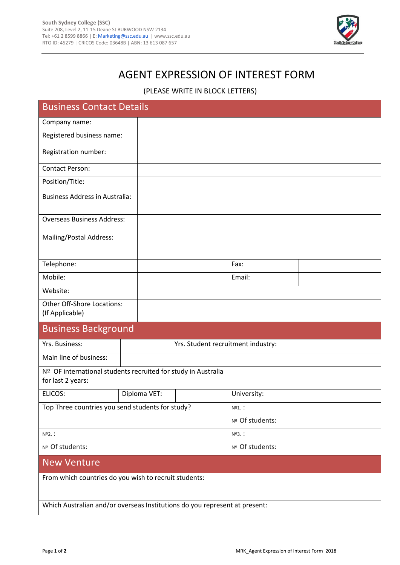

## AGENT EXPRESSION OF INTEREST FORM

(PLEASE WRITE IN BLOCK LETTERS)

| <b>Business Contact Details</b>                                                    |              |  |                                    |  |  |  |  |
|------------------------------------------------------------------------------------|--------------|--|------------------------------------|--|--|--|--|
| Company name:                                                                      |              |  |                                    |  |  |  |  |
| Registered business name:                                                          |              |  |                                    |  |  |  |  |
| Registration number:                                                               |              |  |                                    |  |  |  |  |
| <b>Contact Person:</b>                                                             |              |  |                                    |  |  |  |  |
| Position/Title:                                                                    |              |  |                                    |  |  |  |  |
| <b>Business Address in Australia:</b>                                              |              |  |                                    |  |  |  |  |
| <b>Overseas Business Address:</b>                                                  |              |  |                                    |  |  |  |  |
| Mailing/Postal Address:                                                            |              |  |                                    |  |  |  |  |
|                                                                                    |              |  |                                    |  |  |  |  |
| Telephone:                                                                         |              |  | Fax:                               |  |  |  |  |
| Mobile:                                                                            |              |  | Email:                             |  |  |  |  |
| Website:                                                                           |              |  |                                    |  |  |  |  |
| Other Off-Shore Locations:<br>(If Applicable)                                      |              |  |                                    |  |  |  |  |
| <b>Business Background</b>                                                         |              |  |                                    |  |  |  |  |
| Yrs. Business:                                                                     |              |  | Yrs. Student recruitment industry: |  |  |  |  |
| Main line of business:                                                             |              |  |                                    |  |  |  |  |
| Nº OF international students recruited for study in Australia<br>for last 2 years: |              |  |                                    |  |  |  |  |
| ELICOS:                                                                            | Diploma VET: |  | University:                        |  |  |  |  |
| Top Three countries you send students for study?                                   |              |  | Nº1. :                             |  |  |  |  |
|                                                                                    |              |  | Nº Of students:                    |  |  |  |  |
| Nº2.:                                                                              |              |  | Nº3. :                             |  |  |  |  |
| Nº Of students:                                                                    |              |  | Nº Of students:                    |  |  |  |  |
| <b>New Venture</b>                                                                 |              |  |                                    |  |  |  |  |
| From which countries do you wish to recruit students:                              |              |  |                                    |  |  |  |  |
|                                                                                    |              |  |                                    |  |  |  |  |
| Which Australian and/or overseas Institutions do you represent at present:         |              |  |                                    |  |  |  |  |